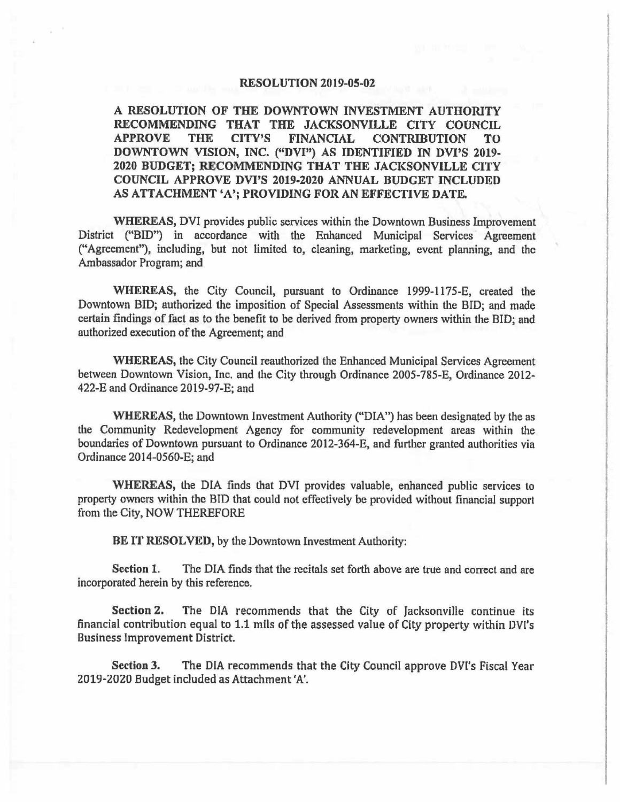#### **RESOLUTION 2019-05-02**

**A RESOLUTION OF THE DOWNTOWN INVESTMENT AUTHORITY RECOMMENDING THAT THE JACKSONVILLE CITY COUNCIL APPROVE THE CITY'S FINANCIAL CONTRIBUTION TO DOWNTOWN VISION, INC. ("DVI") AS IDENTIFIED IN DVl'S** 2019- **2020 BUDGET; RECOMMENDING THAT THE JACKSONVILLE CITY COUNCIL APPROVE DVI'S 2019-2020 ANNUAL BUDGET INCLUDED AS ATTACHMENT 'A'; PROVIDING FOR AN EFFECTIVE DATE.** 

**WHEREAS,** DVI provides public services within the Downtown Business Improvement District ("BID") in accordance with the Enhanced Municipal Services Agreement ("Agreement"), including, but not limited to, cleaning, marketing, event planning, and the Ambassador Program; and

WHEREAS, the City Council, pursuant to Ordinance 1999-1175-E, created the Downtown BID; authorized the imposition of Special Assessments within the BID; and made certain findings of fact as to the benefit to be derived from property owners within the BID; and authorized execution of the Agreement; and

**WHEREAS,** the City Council reauthorized the Enhanced Municipal Services Agreement between Downtown Vision, Inc. and the City through Ordinance 2005-785-E, Ordinance 2012- 422-E and Ordinance 2019-97-E: and

**WHEREAS,** the Downtown Investment Authority ("DIA") has been designated by the as the Community Redevelopment Agency for community redevelopment areas within the boundaries of Downtown pursuant to Ordinance 2012-364-E, and further granted authorities via Ordinance 2014-0560-E; and

**WHEREAS,** the DIA finds that DVI provides valuable, enhanced public services to property owners within the BID that could not effectively be provided without financial support from the City, NOW THEREFORE

**BE IT RESOLVED,** by the Downtown Investment Authority:

**Section 1.** The DIA finds that the recitals set forth above are true and correct and are incorporated herein by this reference.

**Section 2,** The DIA recommends that the City of Jacksonville continue its financial contribution equal to 1.1 mils of the assessed value of City property within DVl's Business Improvement District.

**Section 3.** The DIA recommends that the City Council approve DVl's Fiscal Year 2019-2020 Budget included as Attachment 'A'.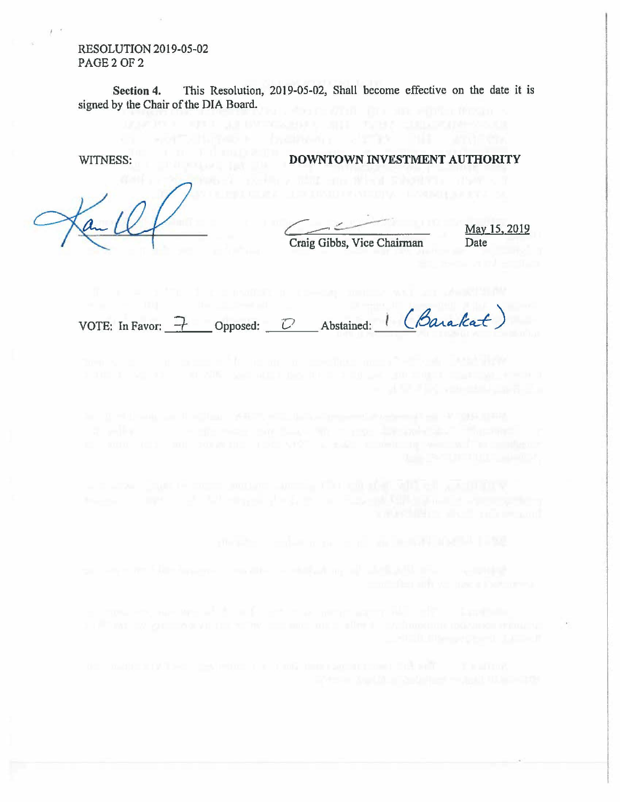RESOLUTION 2019-05-02 PAGE 2 OF 2

 $\sim$ 

**Section 4.** This Resolution, 2019-05-02, Shall become effective on the date it is signed by the Chair of the DIA Board.

 $\ell$ 

# WITNESS: **DOWNTOWN INVESTMENT AUTHORITY**

Craig Gibbs, Vice Chairman Date

May 15, 2019

 $\frac{1}{\sqrt{2}}$ VOTE: In Favor:  $\rightarrow$  Opposed: *D* Abstained: (*Barakat*)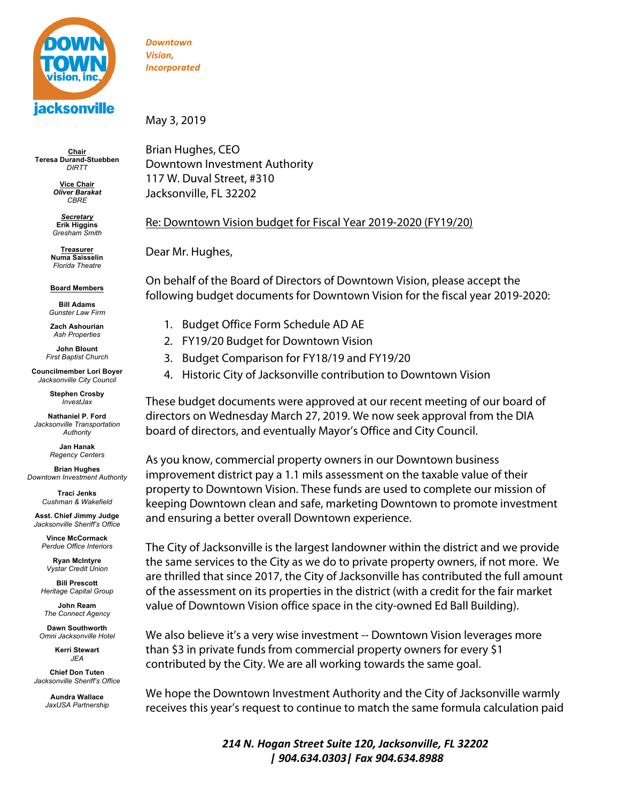

**Chair Teresa Durand-Stuebben** *DIRTT*

> **Vice Chair** *Oliver Barakat CBRE*

*Secretary* **Erik Higgins** *Gresham Smith* 

**Treasurer Numa Saisselin** *Florida Theatre*

**Board Members**

**Bill Adams** *Gunster Law Firm*

**Zach Ashourian** *Ash Properties* 

**John Blount** *First Baptist Church*

**Councilmember Lori Boyer** *Jacksonville City Council*

> **Stephen Crosby** *InvestJax*

**Nathaniel P. Ford** *Jacksonville Transportation Authority*

> **Jan Hanak** *Regency Centers*

**Brian Hughes** *Downtown Investment Authority*

> **Traci Jenks** *Cushman & Wakefield*

**Asst. Chief Jimmy Judge** *Jacksonville Sheriff's Office*

**Vince McCormack** *Perdue Office Interiors*

**Ryan McIntyre** *Vystar Credit Union*

**Bill Prescott** *Heritage Capital Group*

**John Ream** *The Connect Agency*

**Dawn Southworth** *Omni Jacksonville Hotel*

> **Kerri Stewart** *JEA*

**Chief Don Tuten** *Jacksonville Sheriff's Office*

> **Aundra Wallace** *JaxUSA Partnership*

*Downtown Vision, Incorporated*

May 3, 2019

Brian Hughes, CEO Downtown Investment Authority 117 W. Duval Street, #310 Jacksonville, FL 32202

# Re: Downtown Vision budget for Fiscal Year 2019-2020 (FY19/20)

Dear Mr. Hughes,

On behalf of the Board of Directors of Downtown Vision, please accept the following budget documents for Downtown Vision for the fiscal year 2019-2020:

- 1. Budget Office Form Schedule AD AE
- 2. FY19/20 Budget for Downtown Vision
- 3. Budget Comparison for FY18/19 and FY19/20
- 4. Historic City of Jacksonville contribution to Downtown Vision

These budget documents were approved at our recent meeting of our board of directors on Wednesday March 27, 2019. We now seek approval from the DIA board of directors, and eventually Mayor's Office and City Council.

As you know, commercial property owners in our Downtown business improvement district pay a 1.1 mils assessment on the taxable value of their property to Downtown Vision. These funds are used to complete our mission of keeping Downtown clean and safe, marketing Downtown to promote investment and ensuring a better overall Downtown experience.

The City of Jacksonville is the largest landowner within the district and we provide the same services to the City as we do to private property owners, if not more. We are thrilled that since 2017, the City of Jacksonville has contributed the full amount of the assessment on its properties in the district (with a credit for the fair market value of Downtown Vision office space in the city-owned Ed Ball Building).

We also believe it's a very wise investment -- Downtown Vision leverages more than \$3 in private funds from commercial property owners for every \$1 contributed by the City. We are all working towards the same goal.

We hope the Downtown Investment Authority and the City of Jacksonville warmly receives this year's request to continue to match the same formula calculation paid

> *214 N. Hogan Street Suite 120, Jacksonville, FL 32202 | 904.634.0303| Fax 904.634.8988*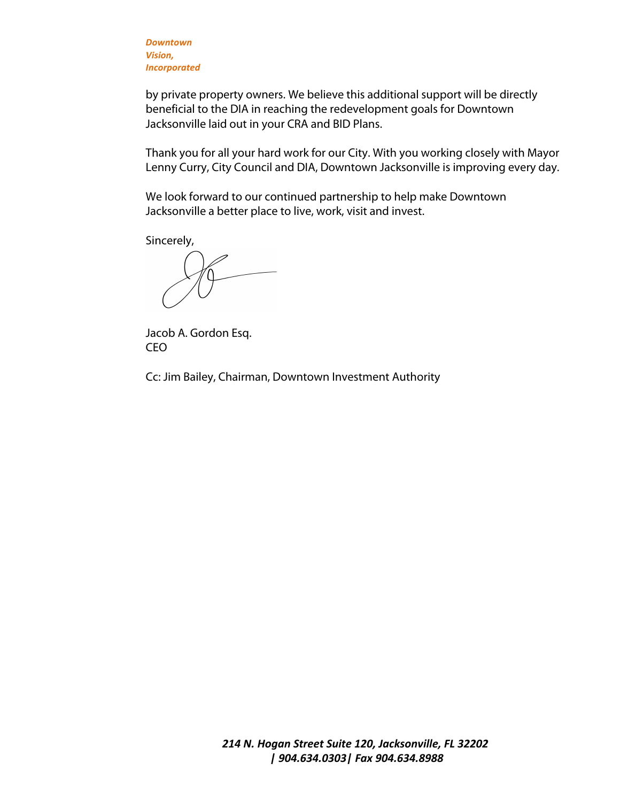*Downtown Vision, Incorporated*

by private property owners. We believe this additional support will be directly beneficial to the DIA in reaching the redevelopment goals for Downtown Jacksonville laid out in your CRA and BID Plans.

Thank you for all your hard work for our City. With you working closely with Mayor Lenny Curry, City Council and DIA, Downtown Jacksonville is improving every day.

We look forward to our continued partnership to help make Downtown Jacksonville a better place to live, work, visit and invest.

Sincerely,

Jacob A. Gordon Esq. CEO

Cc: Jim Bailey, Chairman, Downtown Investment Authority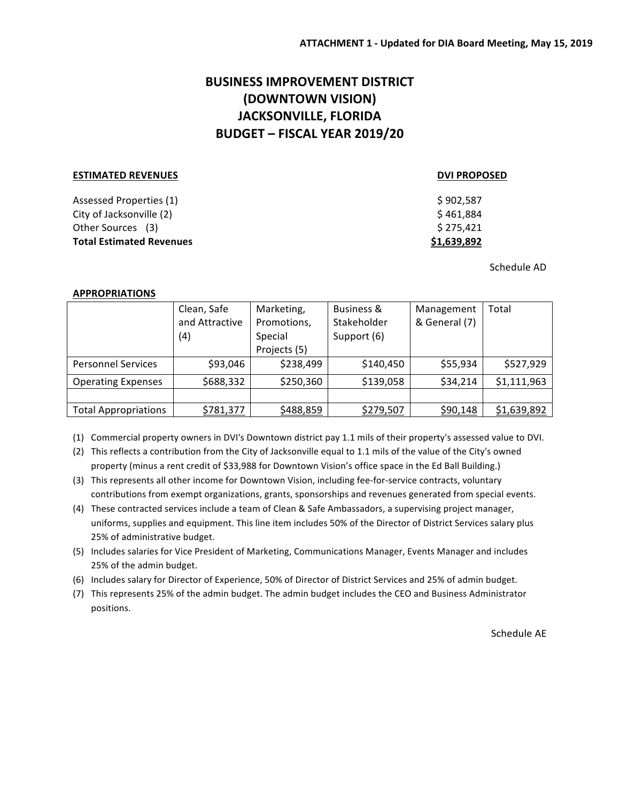# **BUSINESS IMPROVEMENT DISTRICT (DOWNTOWN VISION) JACKSONVILLE, FLORIDA BUDGET – FISCAL YEAR 2019/20**

#### **ESTIMATED REVENUES DVI PROPOSED**

## Assessed Properties (1) **Assessed** Properties (1) **Assessed** Properties (1)  $\text{City of Jacksonville (2)} \quad \text{5.461,884}$ Other Sources (3)  $$275,421$ **Total Estimated Revenues** *<b>S1,639,892*

Schedule AD

### **APPROPRIATIONS**

|                             | Clean, Safe    | Marketing,   | Business &  | Management    | Total       |
|-----------------------------|----------------|--------------|-------------|---------------|-------------|
|                             | and Attractive | Promotions,  | Stakeholder | & General (7) |             |
|                             | (4)            | Special      | Support (6) |               |             |
|                             |                | Projects (5) |             |               |             |
| <b>Personnel Services</b>   | \$93,046       | \$238,499    | \$140,450   | \$55,934      | \$527,929   |
| <b>Operating Expenses</b>   | \$688,332      | \$250,360    | \$139,058   | \$34,214      | \$1,111,963 |
|                             |                |              |             |               |             |
| <b>Total Appropriations</b> | \$781,377      | \$488,859    | \$279,507   | \$90,148      | \$1,639,892 |

(1) Commercial property owners in DVI's Downtown district pay 1.1 mils of their property's assessed value to DVI.

(2) This reflects a contribution from the City of Jacksonville equal to 1.1 mils of the value of the City's owned property (minus a rent credit of \$33,988 for Downtown Vision's office space in the Ed Ball Building.)

(3) This represents all other income for Downtown Vision, including fee-for-service contracts, voluntary contributions from exempt organizations, grants, sponsorships and revenues generated from special events.

- (4) These contracted services include a team of Clean & Safe Ambassadors, a supervising project manager, uniforms, supplies and equipment. This line item includes 50% of the Director of District Services salary plus 25% of administrative budget.
- (5) Includes salaries for Vice President of Marketing, Communications Manager, Events Manager and includes 25% of the admin budget.

(6) Includes salary for Director of Experience, 50% of Director of District Services and 25% of admin budget.

(7) This represents 25% of the admin budget. The admin budget includes the CEO and Business Administrator positions.

Schedule AE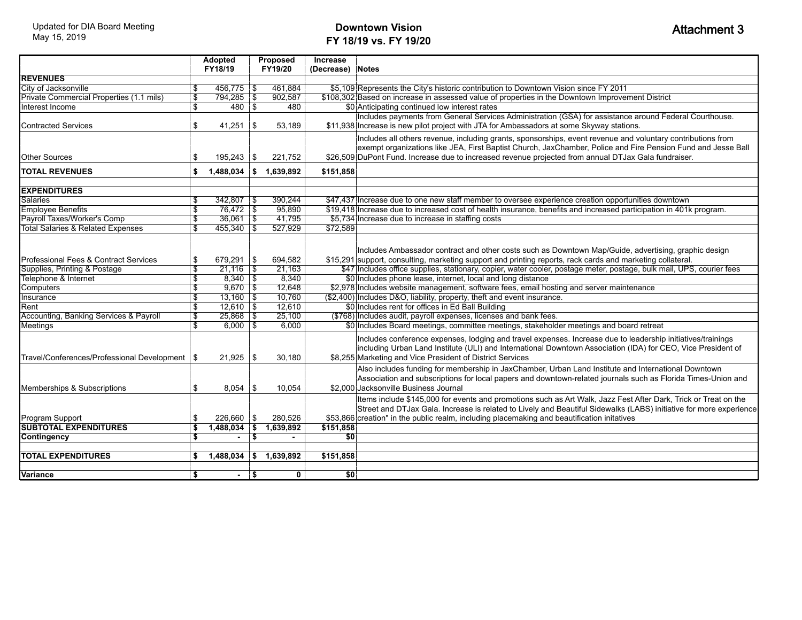## **Downtown Vision FY 18/19 vs. FY 19/20**

|                                                  | <b>Adopted</b>                |                            | Proposed                |                  | Increase        |                                                                                                                                                                                                                                                                                                                                      |
|--------------------------------------------------|-------------------------------|----------------------------|-------------------------|------------------|-----------------|--------------------------------------------------------------------------------------------------------------------------------------------------------------------------------------------------------------------------------------------------------------------------------------------------------------------------------------|
|                                                  |                               | FY18/19                    |                         | FY19/20          | (Decrease)      | <b>Notes</b>                                                                                                                                                                                                                                                                                                                         |
| <b>REVENUES</b>                                  |                               |                            |                         |                  |                 |                                                                                                                                                                                                                                                                                                                                      |
| City of Jacksonville                             | \$.                           | $456,775$ \\$              |                         | 461.884          |                 | \$5,109 Represents the City's historic contribution to Downtown Vision since FY 2011                                                                                                                                                                                                                                                 |
| Private Commercial Properties (1.1 mils)         | $\mathbf{\mathfrak{g}}$       | $794,285$ \\$              |                         | 902,587          |                 | \$108,302 Based on increase in assessed value of properties in the Downtown Improvement District                                                                                                                                                                                                                                     |
| Interest Income                                  | $\overline{\mathbb{S}}$       | 480S                       |                         | 480              |                 | \$0 Anticipating continued low interest rates                                                                                                                                                                                                                                                                                        |
| Contracted Services                              | \$                            | 41,251                     | \$                      | 53,189           |                 | Includes payments from General Services Administration (GSA) for assistance around Federal Courthouse.<br>\$11,938 Increase is new pilot project with JTA for Ambassadors at some Skyway stations.                                                                                                                                   |
| <b>Other Sources</b>                             | \$                            | $195,243$ \\$              |                         | 221,752          |                 | Includes all others revenue, including grants, sponsorships, event revenue and voluntary contributions from<br>exempt organizations like JEA, First Baptist Church, JaxChamber, Police and Fire Pension Fund and Jesse Ball<br>\$26,509 DuPont Fund. Increase due to increased revenue projected from annual DTJax Gala fundraiser.  |
| <b>TOTAL REVENUES</b>                            | \$                            | 1,488,034                  | s.                      | 1,639,892        | \$151,858       |                                                                                                                                                                                                                                                                                                                                      |
| <b>EXPENDITURES</b>                              |                               |                            |                         |                  |                 |                                                                                                                                                                                                                                                                                                                                      |
| <b>Salaries</b>                                  | \$                            | $342,807$ \$               |                         | 390,244          |                 | \$47,437 Increase due to one new staff member to oversee experience creation opportunities downtown                                                                                                                                                                                                                                  |
| <b>Employee Benefits</b>                         | \$                            | $76,472$ \$                |                         | 95,890           |                 | \$19,418 Increase due to increased cost of health insurance, benefits and increased participation in 401k program.                                                                                                                                                                                                                   |
| Payroll Taxes/Worker's Comp                      | $\mathfrak{F}$                | $36,061$ \$                |                         | 41,795           |                 | \$5,734 Increase due to increase in staffing costs                                                                                                                                                                                                                                                                                   |
| <b>Total Salaries &amp; Related Expenses</b>     | \$                            | $455.340$ \\$              |                         | 527,929          | \$72,589        |                                                                                                                                                                                                                                                                                                                                      |
| Professional Fees & Contract Services            | \$                            | $679,291$ \\$              |                         | 694,582          |                 | Includes Ambassador contract and other costs such as Downtown Map/Guide, advertising, graphic design<br>\$15,291 support, consulting, marketing support and printing reports, rack cards and marketing collateral.                                                                                                                   |
| Supplies, Printing & Postage                     | $\overline{\mathbb{S}}$       | $21,116$ \ \$              |                         | 21,163           |                 | \$47 Includes office supplies, stationary, copier, water cooler, postage meter, postage, bulk mail, UPS, courier fees                                                                                                                                                                                                                |
| Telephone & Internet                             | $\overline{\mathbb{S}}$       | $8,340$ \ \$<br>$9.670$ \$ |                         | 8,340            |                 | \$0 Includes phone lease, internet, local and long distance                                                                                                                                                                                                                                                                          |
| Computers<br>Insurance                           | $\overline{\mathbb{S}}$<br>\$ | $13,160$ \ \$              |                         | 12,648<br>10,760 |                 | \$2,978 Includes website management, software fees, email hosting and server maintenance<br>(\$2,400) Includes D&O, liability, property, theft and event insurance.                                                                                                                                                                  |
| Rent                                             | $\overline{\mathcal{E}}$      | $12,610$ \$                |                         | 12,610           |                 | \$0 Includes rent for offices in Ed Ball Building                                                                                                                                                                                                                                                                                    |
|                                                  |                               | $25,868$ \$                |                         | 25,100           |                 |                                                                                                                                                                                                                                                                                                                                      |
| Accounting, Banking Services & Payroll           | \$<br>$\overline{\mathbb{S}}$ | $6,000$ \$                 |                         | 6,000            |                 | (\$768) Includes audit, payroll expenses, licenses and bank fees.<br>\$0 Includes Board meetings, committee meetings, stakeholder meetings and board retreat                                                                                                                                                                         |
| <b>Meetings</b>                                  |                               |                            |                         |                  |                 |                                                                                                                                                                                                                                                                                                                                      |
| Travel/Conferences/Professional Development   \$ |                               | $21,925$ \\$               |                         | 30,180           |                 | Includes conference expenses, lodging and travel expenses. Increase due to leadership initiatives/trainings<br>including Urban Land Institute (ULI) and International Downtown Association (IDA) for CEO, Vice President of<br>\$8,255 Marketing and Vice President of District Services                                             |
| Memberships & Subscriptions                      | \$                            | 8,054                      | 1\$                     | 10,054           |                 | Also includes funding for membership in JaxChamber, Urban Land Institute and International Downtown<br>Association and subscriptions for local papers and downtown-related journals such as Florida Times-Union and<br>\$2.000 Jacksonville Business Journal                                                                         |
| Program Support                                  | \$                            | $226.660$ \ \$             |                         | 280.526          |                 | Items include \$145,000 for events and promotions such as Art Walk, Jazz Fest After Dark, Trick or Treat on the<br>Street and DTJax Gala. Increase is related to Lively and Beautiful Sidewalks (LABS) initiative for more experience<br>\$53,866 creation" in the public realm, including placemaking and beautification initatives |
| <b>SUBTOTAL EXPENDITURES</b>                     | \$                            | 1,488,034                  | $\overline{\mathbf{s}}$ | 1,639,892        | \$151,858       |                                                                                                                                                                                                                                                                                                                                      |
| Contingency                                      | \$                            | $\sim$                     | $\overline{\mathsf{I}}$ | $\blacksquare$   | $\overline{50}$ |                                                                                                                                                                                                                                                                                                                                      |
|                                                  |                               |                            |                         |                  |                 |                                                                                                                                                                                                                                                                                                                                      |
| <b>TOTAL EXPENDITURES</b>                        | \$                            | $1,488,034$ \$ $1,639,892$ |                         |                  | \$151,858       |                                                                                                                                                                                                                                                                                                                                      |
| <b>Variance</b>                                  | \$                            | $\sim$                     | l Si                    | 0                | $\overline{50}$ |                                                                                                                                                                                                                                                                                                                                      |